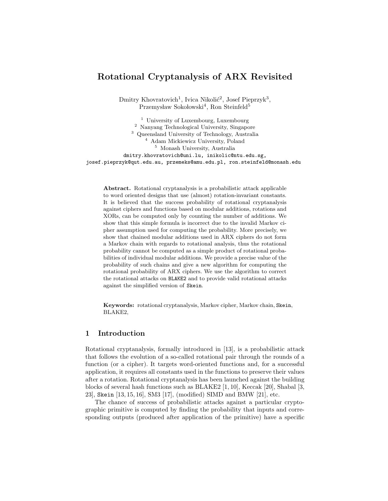# Rotational Cryptanalysis of ARX Revisited

Dmitry Khovratovich<sup>1</sup>, Ivica Nikolić<sup>2</sup>, Josef Pieprzyk<sup>3</sup>, Przemysław Sokołowski<sup>4</sup>, Ron Steinfeld<sup>5</sup>

 University of Luxembourg, Luxembourg Nanyang Technological University, Singapore Queensland University of Technology, Australia Adam Mickiewicz University, Poland Monash University, Australia dmitry.khovratovich@uni.lu, inikolic@ntu.edu.sg, josef.pieprzyk@qut.edu.au, przemeks@amu.edu.pl, ron.steinfeld@monash.edu

Abstract. Rotational cryptanalysis is a probabilistic attack applicable to word oriented designs that use (almost) rotation-invariant constants. It is believed that the success probability of rotational cryptanalysis against ciphers and functions based on modular additions, rotations and XORs, can be computed only by counting the number of additions. We show that this simple formula is incorrect due to the invalid Markov cipher assumption used for computing the probability. More precisely, we show that chained modular additions used in ARX ciphers do not form a Markov chain with regards to rotational analysis, thus the rotational probability cannot be computed as a simple product of rotational probabilities of individual modular additions. We provide a precise value of the probability of such chains and give a new algorithm for computing the rotational probability of ARX ciphers. We use the algorithm to correct the rotational attacks on BLAKE2 and to provide valid rotational attacks against the simplified version of Skein.

Keywords: rotational cryptanalysis, Markov cipher, Markov chain, Skein, BLAKE2,

### 1 Introduction

Rotational cryptanalysis, formally introduced in [13], is a probabilistic attack that follows the evolution of a so-called rotational pair through the rounds of a function (or a cipher). It targets word-oriented functions and, for a successful application, it requires all constants used in the functions to preserve their values after a rotation. Rotational cryptanalysis has been launched against the building blocks of several hash functions such as BLAKE2 [1, 10], Keccak [20], Shabal [3, 23], Skein [13, 15, 16], SM3 [17], (modified) SIMD and BMW [21], etc.

The chance of success of probabilistic attacks against a particular cryptographic primitive is computed by finding the probability that inputs and corresponding outputs (produced after application of the primitive) have a specific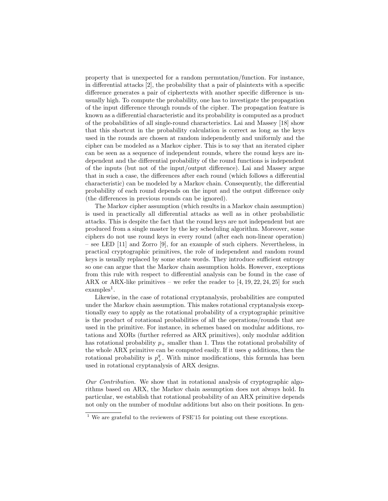property that is unexpected for a random permutation/function. For instance, in differential attacks [2], the probability that a pair of plaintexts with a specific difference generates a pair of ciphertexts with another specific difference is unusually high. To compute the probability, one has to investigate the propagation of the input difference through rounds of the cipher. The propagation feature is known as a differential characteristic and its probability is computed as a product of the probabilities of all single-round characteristics. Lai and Massey [18] show that this shortcut in the probability calculation is correct as long as the keys used in the rounds are chosen at random independently and uniformly and the cipher can be modeled as a Markov cipher. This is to say that an iterated cipher can be seen as a sequence of independent rounds, where the round keys are independent and the differential probability of the round functions is independent of the inputs (but not of the input/output difference). Lai and Massey argue that in such a case, the differences after each round (which follows a differential characteristic) can be modeled by a Markov chain. Consequently, the differential probability of each round depends on the input and the output difference only (the differences in previous rounds can be ignored).

The Markov cipher assumption (which results in a Markov chain assumption) is used in practically all differential attacks as well as in other probabilistic attacks. This is despite the fact that the round keys are not independent but are produced from a single master by the key scheduling algorithm. Moreover, some ciphers do not use round keys in every round (after each non-linear operation) – see LED [11] and Zorro [9], for an example of such ciphers. Nevertheless, in practical cryptographic primitives, the role of independent and random round keys is usually replaced by some state words. They introduce sufficient entropy so one can argue that the Markov chain assumption holds. However, exceptions from this rule with respect to differential analysis can be found in the case of ARX or ARX-like primitives – we refer the reader to  $[4, 19, 22, 24, 25]$  for such  $\exp$ les<sup>1</sup>.

Likewise, in the case of rotational cryptanalysis, probabilities are computed under the Markov chain assumption. This makes rotational cryptanalysis exceptionally easy to apply as the rotational probability of a cryptographic primitive is the product of rotational probabilities of all the operations/rounds that are used in the primitive. For instance, in schemes based on modular additions, rotations and XORs (further referred as ARX primitives), only modular addition has rotational probability  $p_+$  smaller than 1. Thus the rotational probability of the whole ARX primitive can be computed easily. If it uses  $q$  additions, then the rotational probability is  $p_+^q$ . With minor modifications, this formula has been used in rotational cryptanalysis of ARX designs.

Our Contribution. We show that in rotational analysis of cryptographic algorithms based on ARX, the Markov chain assumption does not always hold. In particular, we establish that rotational probability of an ARX primitive depends not only on the number of modular additions but also on their positions. In gen-

<sup>&</sup>lt;sup>1</sup> We are grateful to the reviewers of FSE'15 for pointing out these exceptions.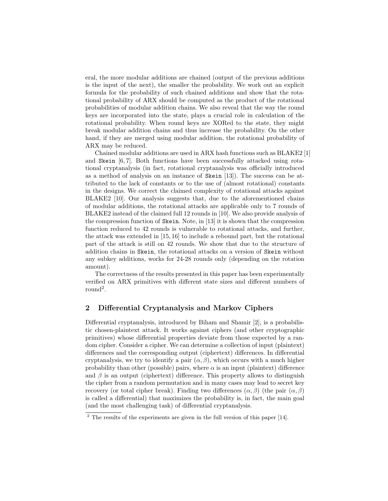eral, the more modular additions are chained (output of the previous additions is the input of the next), the smaller the probability. We work out an explicit formula for the probability of such chained additions and show that the rotational probability of ARX should be computed as the product of the rotational probabilities of modular addition chains. We also reveal that the way the round keys are incorporated into the state, plays a crucial role in calculation of the rotational probability. When round keys are XORed to the state, they might break modular addition chains and thus increase the probability. On the other hand, if they are merged using modular addition, the rotational probability of ARX may be reduced.

Chained modular additions are used in ARX hash functions such as BLAKE2 [1] and Skein [6, 7]. Both functions have been successfully attacked using rotational cryptanalysis (in fact, rotational cryptanalysis was officially introduced as a method of analysis on an instance of Skein [13]). The success can be attributed to the lack of constants or to the use of (almost rotational) constants in the designs. We correct the claimed complexity of rotational attacks against BLAKE2 [10]. Our analysis suggests that, due to the aforementioned chains of modular additions, the rotational attacks are applicable only to 7 rounds of BLAKE2 instead of the claimed full 12 rounds in [10]. We also provide analysis of the compression function of Skein. Note, in [13] it is shown that the compression function reduced to 42 rounds is vulnerable to rotational attacks, and further, the attack was extended in [15, 16] to include a rebound part, but the rotational part of the attack is still on 42 rounds. We show that due to the structure of addition chains in Skein, the rotational attacks on a version of Skein without any subkey additions, works for 24-28 rounds only (depending on the rotation amount).

The correctness of the results presented in this paper has been experimentally verified on ARX primitives with different state sizes and different numbers of  $round<sup>2</sup>$ .

### 2 Differential Cryptanalysis and Markov Ciphers

Differential cryptanalysis, introduced by Biham and Shamir [2], is a probabilistic chosen-plaintext attack. It works against ciphers (and other cryptographic primitives) whose differential properties deviate from those expected by a random cipher. Consider a cipher. We can determine a collection of input (plaintext) differences and the corresponding output (ciphertext) differences. In differential cryptanalysis, we try to identify a pair  $(\alpha, \beta)$ , which occurs with a much higher probability than other (possible) pairs, where  $\alpha$  is an input (plaintext) difference and  $\beta$  is an output (ciphertext) difference. This property allows to distinguish the cipher from a random permutation and in many cases may lead to secret key recovery (or total cipher break). Finding two differences  $(\alpha, \beta)$  (the pair  $(\alpha, \beta)$ ) is called a differential) that maximizes the probability is, in fact, the main goal (and the most challenging task) of differential cryptanalysis.

 $\frac{2}{10}$  The results of the experiments are given in the full version of this paper [14].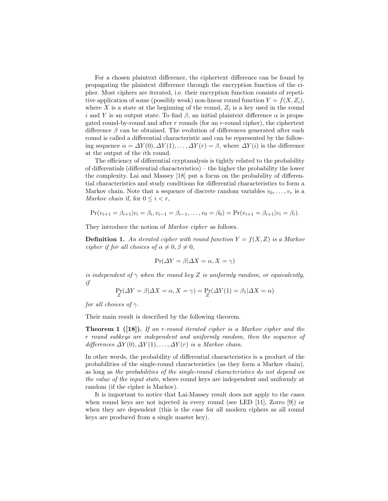For a chosen plaintext difference, the ciphertext difference can be found by propagating the plaintext difference through the encryption function of the cipher. Most ciphers are iterated, i.e. their encryption function consists of repetitive application of some (possibly weak) non-linear round function  $Y = f(X, Z_i)$ , where X is a state at the beginning of the round,  $Z_i$  is a key used in the round i and Y is an output state. To find  $\beta$ , an initial plaintext difference  $\alpha$  is propagated round-by-round and after  $r$  rounds (for an  $r$ -round cipher), the ciphertext difference  $\beta$  can be obtained. The evolution of differences generated after each round is called a differential characteristic and can be represented by the following sequence  $\alpha = \Delta Y(0), \Delta Y(1), \ldots, \Delta Y(r) = \beta$ , where  $\Delta Y(i)$  is the difference at the output of the ith round.

The efficiency of differential cryptanalysis is tightly related to the probability of differentials (differential characteristics) – the higher the probability the lower the complexity. Lai and Massey [18] put a focus on the probability of differential characteristics and study conditions for differential characteristics to form a Markov chain. Note that a sequence of discrete random variables  $v_0, \ldots, v_r$  is a Markov chain if, for  $0 \leq i < r$ ,

$$
Pr(v_{i+1} = \beta_{i+1} | v_i = \beta_i, v_{i-1} = \beta_{i-1}, \dots, v_0 = \beta_0) = Pr(v_{i+1} = \beta_{i+1} | v_i = \beta_i).
$$

They introduce the notion of *Markov cipher* as follows.

**Definition 1.** An iterated cipher with round function  $Y = f(X, Z)$  is a Markov cipher if for all choices of  $\alpha \neq 0, \beta \neq 0$ ,

$$
Pr(\Delta Y = \beta | \Delta X = \alpha, X = \gamma)
$$

is independent of  $\gamma$  when the round key Z is uniformly random, or equivalently, if

$$
\Pr_Z(\Delta Y = \beta | \Delta X = \alpha, X = \gamma) = \Pr_Z(\Delta Y(1) = \beta_1 | \Delta X = \alpha)
$$

for all choices of  $\gamma$ .

Their main result is described by the following theorem.

Theorem 1 ([18]). If an r-round iterated cipher is a Markov cipher and the r round subkeys are independent and uniformly random, then the sequence of differences  $\Delta Y(0), \Delta Y(1), \ldots, \Delta Y(r)$  is a Markov chain.

In other words, the probability of differential characteristics is a product of the probabilities of the single-round characteristics (as they form a Markov chain), as long as the probabilities of the single-round characteristics do not depend on the value of the input state, where round keys are independent and uniformly at random (if the cipher is Markov).

It is important to notice that Lai-Massey result does not apply to the cases when round keys are not injected in every round (see LED [11], Zorro [9]) or when they are dependent (this is the case for all modern ciphers as all round keys are produced from a single master key).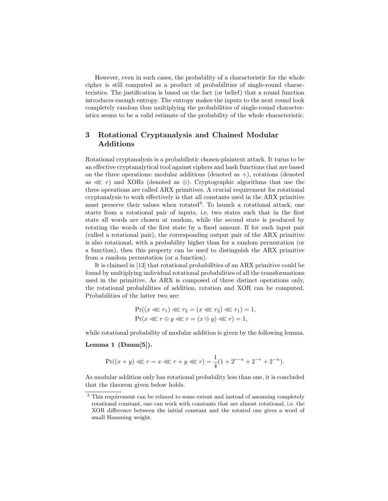However, even in such cases, the probability of a characteristic for the whole cipher is still computed as a product of probabilities of single-round characteristics. The justification is based on the fact (or belief) that a round function introduces enough entropy. The entropy makes the inputs to the next round look completely random thus multiplying the probabilities of single-round characteristics seems to be a valid estimate of the probability of the whole characteristic.

## 3 Rotational Cryptanalysis and Chained Modular Additions

Rotational cryptanalysis is a probabilistic chosen-plaintext attack. It turns to be an effective cryptanalytical tool against ciphers and hash functions that are based on the three operations: modular additions (denoted as  $+)$ , rotations (denoted as  $\lll r$ ) and XORs (denoted as  $\oplus$ ). Cryptographic algorithms that use the three operations are called ARX primitives. A crucial requirement for rotational cryptanalysis to work effectively is that all constants used in the ARX primitive must preserve their values when rotated<sup>3</sup>. To launch a rotational attack, one starts from a rotational pair of inputs, i.e. two states such that in the first state all words are chosen at random, while the second state is produced by rotating the words of the first state by a fixed amount. If for such input pair (called a rotational pair), the corresponding output pair of the ARX primitive is also rotational, with a probability higher than for a random permutation (or a function), then this property can be used to distinguish the ARX primitive from a random permutation (or a function).

It is claimed in [13] that rotational probabilities of an ARX primitive could be found by multiplying individual rotational probabilities of all the transformations used in the primitive. As ARX is composed of three distinct operations only, the rotational probabilities of addition, rotation and XOR can be computed. Probabilities of the latter two are:

$$
Pr((x \lll r_1) \lll r_2 = (x \lll r_2) \lll r_1) = 1,
$$
  

$$
Pr(x \lll r \oplus y \lll r = (x \oplus y) \lll r) = 1,
$$

while rotational probability of modular addition is given by the following lemma.

#### Lemma 1  $(Daum[5])$ .

$$
\Pr((x+y)\lll r=x\lll r+y\lll r)=\frac{1}{4}(1+2^{r-n}+2^{-r}+2^{-n}).
$$

As modular addition only has rotational probability less than one, it is concluded that the theorem given below holds.

<sup>&</sup>lt;sup>3</sup> This requirement can be relaxed to some extent and instead of assuming completely rotational constant, one can work with constants that are almost rotational, i.e. the XOR difference between the initial constant and the rotated one gives a word of small Hamming weight.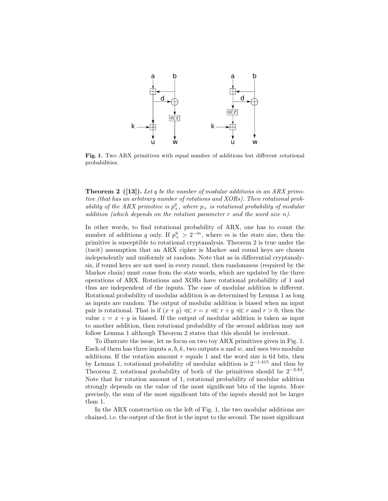

Fig. 1. Two ARX primitives with equal number of additions but different rotational probabilities.

#### **Theorem 2** ([13]). Let q be the number of modular additions in an ARX primitive (that has an arbitrary number of rotations and XORs). Then rotational probability of the ARX primitive is  $p_+^q$ , where  $p_+$  is rotational probability of modular addition (which depends on the rotation parameter  $r$  and the word size  $n$ ).

In other words, to find rotational probability of ARX, one has to count the number of additions q only. If  $p_+^q > 2^{-m}$ , where m is the state size, then the primitive is susceptible to rotational cryptanalysis. Theorem 2 is true under the (tacit) assumption that an ARX cipher is Markov and round keys are chosen independently and uniformly at random. Note that as in differential cryptanalysis, if round keys are not used in every round, then randomness (required by the Markov chain) must come from the state words, which are updated by the three operations of ARX. Rotations and XORs have rotational probability of 1 and thus are independent of the inputs. The case of modular addition is different. Rotational probability of modular addition is as determined by Lemma 1 as long as inputs are random. The output of modular addition is biased when an input pair is rotational. That is if  $(x + y) \ll r = x \ll r + y \ll r$  and  $r > 0$ , then the value  $z = x + y$  is biased. If the output of modular addition is taken as input to another addition, then rotational probability of the second addition may not follow Lemma 1 although Theorem 2 states that this should be irrelevant.

To illustrate the issue, let us focus on two toy ARX primitives given in Fig. 1. Each of them has three inputs a, b, k, two outputs u and w, and uses two modular additions. If the rotation amount  $r$  equals 1 and the word size is 64 bits, then by Lemma 1, rotational probability of modular addition is  $2^{-1.415}$  and thus by Theorem 2, rotational probability of both of the primitives should be  $2^{-2.83}$ . Note that for rotation amount of 1, rotational probability of modular addition strongly depends on the value of the most significant bits of the inputs. More precisely, the sum of the most significant bits of the inputs should not be larger than 1.

In the ARX construction on the left of Fig. 1, the two modular additions are chained, i.e. the output of the first is the input to the second. The most significant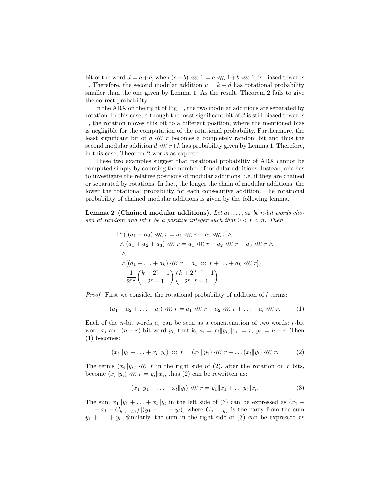bit of the word  $d = a + b$ , when  $(a + b) \ll 1 = a \ll 1 + b \ll 1$ , is biased towards 1. Therefore, the second modular addition  $u = k + d$  has rotational probability smaller than the one given by Lemma 1. As the result, Theorem 2 fails to give the correct probability.

In the ARX on the right of Fig. 1, the two modular additions are separated by rotation. In this case, although the most significant bit of  $d$  is still biased towards 1, the rotation moves this bit to a different position, where the mentioned bias is negligible for the computation of the rotational probability. Furthermore, the least significant bit of  $d \ll \overline{r}$  becomes a completely random bit and thus the second modular addition  $d \ll \overline{r} + k$  has probability given by Lemma 1. Therefore, in this case, Theorem 2 works as expected.

These two examples suggest that rotational probability of ARX cannot be computed simply by counting the number of modular additions. Instead, one has to investigate the relative positions of modular additions, i.e. if they are chained or separated by rotations. In fact, the longer the chain of modular additions, the lower the rotational probability for each consecutive addition. The rotational probability of chained modular additions is given by the following lemma.

**Lemma 2** (Chained modular additions). Let  $a_1, \ldots, a_k$  be n-bit words chosen at random and let r be a positive integer such that  $0 < r < n$ . Then

$$
\Pr([(a_1 + a_2) \ll r = a_1 \ll r + a_2 \ll r] \land
$$
  
\n
$$
\land [(a_1 + a_2 + a_3) \ll r = a_1 \ll r + a_2 \ll r + a_3 \ll r] \land
$$
  
\n
$$
\land \dots
$$
  
\n
$$
\land [(a_1 + \dots + a_k) \ll r = a_1 \ll r + \dots + a_k \ll r]) =
$$
  
\n
$$
= \frac{1}{2^{nk}} {k + 2^{r} - 1 \choose 2^{r} - 1} {k + 2^{n-r} - 1 \choose 2^{n-r} - 1}
$$

*Proof.* First we consider the rotational probability of addition of  $l$  terms:

$$
(a_1 + a_2 + \ldots + a_l) \ll r = a_1 \ll r + a_2 \ll r + \ldots + a_l \ll r. \tag{1}
$$

Each of the *n*-bit words  $a_i$  can be seen as a concatenation of two words: *r*-bit word  $x_i$  and  $(n-r)$ -bit word  $y_i$ , that is,  $a_i = x_i ||y_i|, |x_i| = r, |y_i| = n-r$ . Then (1) becomes:

$$
(x_1 \| y_1 + \ldots + x_l \| y_l) \lll r = (x_1 \| y_1) \lll r + \ldots (x_l \| y_l) \lll r.
$$
 (2)

The terms  $(x_i||y_i) \ll r$  in the right side of (2), after the rotation on r bits, become  $(x_i||y_i) \ll r = y_i||x_i$ , thus (2) can be rewritten as:

$$
(x_1||y_1 + \ldots + x_l||y_l) \lll r = y_1||x_1 + \ldots y_l||x_l.
$$
\n(3)

The sum  $x_1||y_1 + \ldots + x_l||y_l$  in the left side of (3) can be expressed as  $(x_1 +$ ... +  $x_l + C_{y_1,...,y_l}$  || $(y_1 + ... + y_l)$ , where  $C_{y_1,...,y_k}$  is the carry from the sum  $y_1 + \ldots + y_l$ . Similarly, the sum in the right side of (3) can be expressed as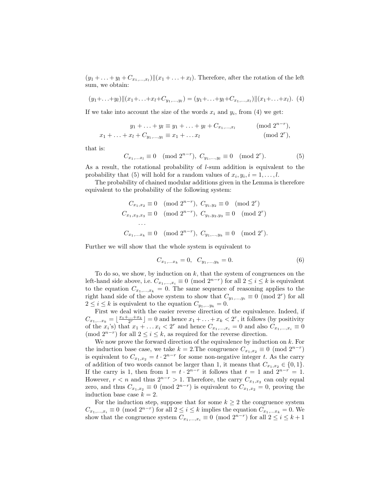$(y_1 + \ldots + y_l + C_{x_1,\ldots,x_l}) || (x_1 + \ldots + x_l).$  Therefore, after the rotation of the left sum, we obtain:

$$
(y_1 + \ldots + y_l) \|(x_1 + \ldots + x_l + C_{y_1, \ldots, y_l}) = (y_1 + \ldots + y_l + C_{x_1, \ldots, x_l}) \|(x_1 + \ldots + x_l). \tag{4}
$$

If we take into account the size of the words  $x_i$  and  $y_i$ , from (4) we get:

$$
y_1 + \ldots + y_l \equiv y_1 + \ldots + y_l + C_{x_1, \ldots, x_l} \quad (\text{mod } 2^{n-r}),
$$
  

$$
x_1 + \ldots + x_l + C_{y_1, \ldots, y_l} \equiv x_1 + \ldots x_l \quad (\text{mod } 2^r),
$$

that is:

 $C_{x_1,...x_l} \equiv 0 \pmod{2^{n-r}}$ ,  $C_{y_1,...,y_l} \equiv 0 \pmod{2^r}$  $(5)$ 

As a result, the rotational probability of l-sum addition is equivalent to the probability that (5) will hold for a random values of  $x_i, y_i, i = 1, \ldots, l$ .

The probability of chained modular additions given in the Lemma is therefore equivalent to the probability of the following system:

$$
C_{x_1,x_2} \equiv 0 \pmod{2^{n-r}}, \ C_{y_1,y_2} \equiv 0 \pmod{2^r}
$$
  
\n
$$
C_{x_1,x_2,x_3} \equiv 0 \pmod{2^{n-r}}, \ C_{y_1,y_2,y_3} \equiv 0 \pmod{2^r}
$$
  
\n...  
\n
$$
C_{x_1,...x_k} \equiv 0 \pmod{2^{n-r}}, \ C_{y_1,...,y_k} \equiv 0 \pmod{2^r}.
$$

Further we will show that the whole system is equivalent to

$$
C_{x_1,...x_k} = 0, \quad C_{y_1,...,y_k} = 0. \tag{6}
$$

To do so, we show, by induction on  $k$ , that the system of congruences on the left-hand side above, i.e.  $C_{x_1,...,x_i} \equiv 0 \pmod{2^{n-r}}$  for all  $2 \leq i \leq k$  is equivalent to the equation  $C_{x_1,...,x_k} = 0$ . The same sequence of reasoning applies to the right hand side of the above system to show that  $C_{y_1,...,y_i} \equiv 0 \pmod{2^r}$  for all  $2 \leq i \leq k$  is equivalent to the equation  $C_{y_1,...y_k} = 0$ .

First we deal with the easier reverse direction of the equivalence. Indeed, if  $C_{x_1,...x_k} = \lfloor \frac{x_1+...+x_k}{2^r} \rfloor = 0$  and hence  $x_1 + ... + x_k < 2^r$ , it follows (by positivity of the  $x_i$ 's) that  $x_1 + \ldots x_i < 2^r$  and hence  $C_{x_1,\ldots,x_i} = 0$  and also  $C_{x_1,\ldots,x_i} \equiv 0$ (mod  $2^{n-r}$ ) for all  $2 \leq i \leq k$ , as required for the reverse direction.

We now prove the forward direction of the equivalence by induction on  $k$ . For the induction base case, we take  $k = 2$ . The congruence  $C_{x_1,x_2} \equiv 0 \pmod{2^{n-r}}$ is equivalent to  $C_{x_1,x_2} = t \cdot 2^{n-r}$  for some non-negative integer t. As the carry of addition of two words cannot be larger than 1, it means that  $C_{x_1,x_2} \in \{0,1\}$ . If the carry is 1, then from  $1 = t \cdot 2^{n-r}$  it follows that  $t = 1$  and  $2^{n-r} = 1$ . However,  $r < n$  and thus  $2^{n-r} > 1$ . Therefore, the carry  $C_{x_1,x_2}$  can only equal zero, and thus  $C_{x_1,x_2} \equiv 0 \pmod{2^{n-r}}$  is equivalent to  $C_{x_1,x_2} = 0$ , proving the induction base case  $k = 2$ .

For the induction step, suppose that for some  $k \geq 2$  the congruence system  $C_{x_1,\dots,x_i} \equiv 0 \pmod{2^{n-r}}$  for all  $2 \leq i \leq k$  implies the equation  $C_{x_1,\dots,x_k} = 0$ . We show that the congruence system  $C_{x_1,...,x_i} \equiv 0 \pmod{2^{n-r}}$  for all  $2 \leq i \leq k+1$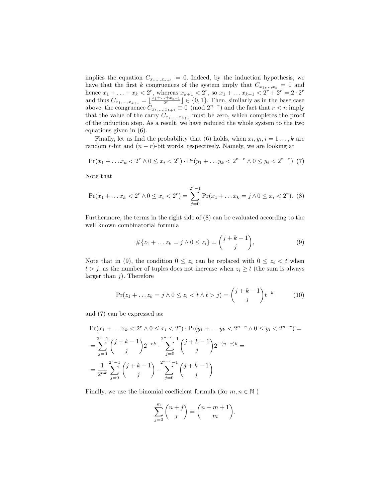implies the equation  $C_{x_1,...x_{k+1}} = 0$ . Indeed, by the induction hypothesis, we have that the first k congruences of the system imply that  $C_{x_1,...,x_k} = 0$  and hence  $x_1 + \ldots + x_k < 2^r$ , whereas  $x_{k+1} < 2^r$ , so  $x_1 + \ldots x_{k+1} < 2^r + 2^r = 2 \cdot 2^r$ and thus  $C_{x_1,...,x_{k+1}} = \lfloor \frac{x_1+...+x_{k+1}}{2^r} \rfloor \in \{0,1\}$ . Then, similarly as in the base case above, the congruence  $C_{x_1,...,x_{k+1}} \equiv 0 \pmod{2^{n-r}}$  and the fact that  $r < n$  imply that the value of the carry  $C_{x_1,\,\dots,x_{k+1}}$  must be zero, which completes the proof of the induction step. As a result, we have reduced the whole system to the two equations given in (6).

Finally, let us find the probability that (6) holds, when  $x_i, y_i, i = 1 \dots, k$  are random r-bit and  $(n - r)$ -bit words, respectively. Namely, we are looking at

$$
\Pr(x_1 + \dots x_k < 2^r \land 0 \le x_i < 2^r) \cdot \Pr(y_1 + \dots y_k < 2^{n-r} \land 0 \le y_i < 2^{n-r}) \tag{7}
$$

Note that

$$
\Pr(x_1 + \dots x_k < 2^r \land 0 \le x_i < 2^r) = \sum_{j=0}^{2^r - 1} \Pr(x_1 + \dots x_k = j \land 0 \le x_i < 2^r). \tag{8}
$$

Furthermore, the terms in the right side of (8) can be evaluated according to the well known combinatorial formula

$$
\#\{z_1 + \dots z_k = j \land 0 \le z_i\} = \binom{j+k-1}{j},\tag{9}
$$

Note that in (9), the condition  $0 \leq z_i$  can be replaced with  $0 \leq z_i < t$  when  $t > j$ , as the number of tuples does not increase when  $z_i \geq t$  (the sum is always larger than  $j$ ). Therefore

$$
\Pr(z_1 + \dots z_k = j \land 0 \le z_i < t \land t > j) = \binom{j + k - 1}{j} t^{-k} \tag{10}
$$

and (7) can be expressed as:

$$
\Pr(x_1 + \dots x_k < 2^r \land 0 \le x_i < 2^r) \cdot \Pr(y_1 + \dots y_k < 2^{n-r} \land 0 \le y_i < 2^{n-r}) =
$$
\n
$$
= \sum_{j=0}^{2^r - 1} \binom{j+k-1}{j} 2^{-rk} \cdot \sum_{j=0}^{2^{n-r} - 1} \binom{j+k-1}{j} 2^{-(n-r)k} =
$$
\n
$$
= \frac{1}{2^{nk}} \sum_{j=0}^{2^r - 1} \binom{j+k-1}{j} \cdot \sum_{j=0}^{2^{n-r} - 1} \binom{j+k-1}{j}
$$

Finally, we use the binomial coefficient formula (for  $m, n \in \mathbb{N}$ )

$$
\sum_{j=0}^{m} \binom{n+j}{j} = \binom{n+m+1}{m}.
$$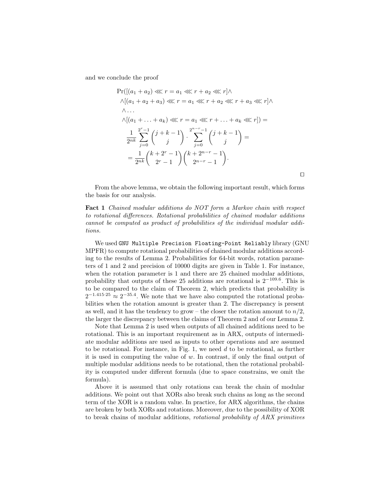and we conclude the proof

$$
\Pr([(a_1 + a_2) \ll r = a_1 \ll r + a_2 \ll r] \wedge
$$
  
\n
$$
\wedge [(a_1 + a_2 + a_3) \ll r = a_1 \ll r + a_2 \ll r + a_3 \ll r] \wedge
$$
  
\n
$$
\wedge \dots
$$
  
\n
$$
\wedge [(a_1 + \dots + a_k) \ll r = a_1 \ll r + \dots + a_k \ll r]) =
$$
  
\n
$$
\frac{1}{2^{nk}} \sum_{j=0}^{2^{n-1}} {j+k-1 \choose j} \cdot \sum_{j=0}^{2^{n-r}-1} {j+k-1 \choose j} =
$$
  
\n
$$
= \frac{1}{2^{nk}} {k+2^{r}-1 \choose 2^{r}-1} {k+2^{n-r}-1 \choose 2^{n-r}-1}.
$$

From the above lemma, we obtain the following important result, which forms the basis for our analysis.

 $\Box$ 

Fact 1 Chained modular additions do NOT form a Markov chain with respect to rotational differences. Rotational probabilities of chained modular additions cannot be computed as product of probabilities of the individual modular additions.

We used GNU Multiple Precision Floating-Point Reliably library (GNU MPFR) to compute rotational probabilities of chained modular additions according to the results of Lemma 2. Probabilities for 64-bit words, rotation parameters of 1 and 2 and precision of 10000 digits are given in Table 1. For instance, when the rotation parameter is 1 and there are 25 chained modular additions, probability that outputs of these 25 additions are rotational is  $2^{-109.6}$ . This is to be compared to the claim of Theorem 2, which predicts that probability is  $2^{-1.415 \cdot 25} \approx 2^{-35.4}$ . We note that we have also computed the rotational probabilities when the rotation amount is greater than 2. The discrepancy is present as well, and it has the tendency to grow – the closer the rotation amount to  $n/2$ , the larger the discrepancy between the claims of Theorem 2 and of our Lemma 2.

Note that Lemma 2 is used when outputs of all chained additions need to be rotational. This is an important requirement as in ARX, outputs of intermediate modular additions are used as inputs to other operations and are assumed to be rotational. For instance, in Fig. 1, we need  $d$  to be rotational, as further it is used in computing the value of  $w$ . In contrast, if only the final output of multiple modular additions needs to be rotational, then the rotational probability is computed under different formula (due to space constrains, we omit the formula).

Above it is assumed that only rotations can break the chain of modular additions. We point out that XORs also break such chains as long as the second term of the XOR is a random value. In practice, for ARX algorithms, the chains are broken by both XORs and rotations. Moreover, due to the possibility of XOR to break chains of modular additions, rotational probability of ARX primitives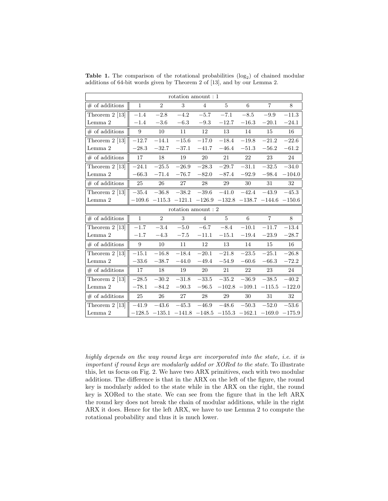| rotation amount : 1            |              |                |               |                |                |         |                                                                         |          |
|--------------------------------|--------------|----------------|---------------|----------------|----------------|---------|-------------------------------------------------------------------------|----------|
| $#$ of additions               | $\mathbf{1}$ | $\overline{2}$ | 3             | $\overline{4}$ | 5              | 6       | $\overline{7}$                                                          | 8        |
| Theorem $2 \lfloor 13 \rfloor$ | $-1.4$       | $-2.8$         | $-4.2$        | $-5.7$         | $-7.1$         | $-8.5$  | $-9.9$                                                                  | $-11.3$  |
| Lemma 2                        | $-1.4$       | $-3.6$         | $-6.3$        | $-9.3$         | $-12.7$        | $-16.3$ | $-20.1$                                                                 | $-24.1$  |
| $#$ of additions               | 9            | 10             | 11            | 12             | 13             | 14      | 15                                                                      | 16       |
| Theorem $2$ [13]               | $-12.7$      | $-14.1$        | $-15.6$       | $-17.0$        | $-18.4$        | $-19.8$ | $-21.2$                                                                 | $-22.6$  |
| Lemma 2                        | $-28.3$      | $-32.7$        | $-37.1$       | $-41.7$        | $-46.4$        | $-51.3$ | $-56.2$                                                                 | $-61.2$  |
| $#$ of additions               | 17           | 18             | 19            | 20             | 21             | 22      | 23                                                                      | 24       |
| Theorem $2$ [13]               | $-24.1$      | $-25.5$        | $-26.9$       | $-28.3$        | $-29.7$        | $-31.1$ | $-32.5$                                                                 | $-34.0$  |
| Lemma 2                        | $-66.3$      | $-71.4$        | $-76.7$       | $-82.0$        | $-87.4$        | $-92.9$ | $-98.4$                                                                 | $-104.0$ |
| $#$ of additions               | 25           | 26             | 27            | 28             | 29             | 30      | 31                                                                      | 32       |
| Theorem $2$ [13]               | $-35.4$      | $-36.8$        | $-38.2$       | $-39.6$        | $-41.0$        | $-42.4$ | $-43.9$                                                                 | $-45.3$  |
| Lemma 2                        |              |                |               |                |                |         | $-109.6$ $-115.3$ $-121.1$ $-126.9$ $-132.8$ $-138.7$ $-144.6$ $-150.6$ |          |
| rotation amount : 2            |              |                |               |                |                |         |                                                                         |          |
| $#$ of additions               | $\mathbf{1}$ | $\overline{2}$ | 3             | $\overline{4}$ | $\overline{5}$ | 6       | $\overline{7}$                                                          | 8        |
| Theorem $2$ [13]               | $-1.7$       | $-3.4$         | $-5.0$        | $-6.7$         | $-8.4$         | $-10.1$ | $-11.7$                                                                 | $-13.4$  |
| Lemma 2                        | $-1.7$       | $-4.3$         | $-7.5$        | $-11.1$        | $-15.1$        | $-19.4$ | $-23.9$                                                                 | $-28.7$  |
| $#$ of additions               | 9            | 10             | 11            | 12             | 13             | 14      | 15                                                                      | 16       |
| Theorem $2$ [13]               | $-15.1$      | $-16.8$        | $-18.4$       | $-20.1$        | $-21.8$        | $-23.5$ | $-25.1$                                                                 | $-26.8$  |
| Lemma 2                        | $-33.6$      | $-38.7$        | $-44.0$       | $-49.4$        | $-54.9$        | $-60.6$ | $-66.3$                                                                 | $-72.2$  |
| $\#$ of additions              | 17           | 18             | 19            | 20             | 21             | 22      | 23                                                                      | 24       |
| Theorem $2$ [13]               | $-28.5$      | $-30.2$        | $-31.8$       | $-33.5$        | $-35.2$        | $-36.9$ | $-38.5$                                                                 | $-40.2$  |
| Lemma 2                        | $-78.1$      | $-84.2$        | $-90.3$       |                |                |         | $-96.5$ $-102.8$ $-109.1$ $-115.5$ $-122.0$                             |          |
| $\#$ of additions              | 25           | 26             | 27            | 28             | 29             | 30      | 31                                                                      | 32       |
| Theorem $2$ [13]               | $-41.9$      |                | $-43.6 -45.3$ | $-46.9$        | $-48.6$        | $-50.3$ | $-52.0$                                                                 | $-53.6$  |
| Lemma 2                        |              |                |               |                |                |         | $-128.5$ $-135.1$ $-141.8$ $-148.5$ $-155.3$ $-162.1$ $-169.0$ $-175.9$ |          |

**Table 1.** The comparison of the rotational probabilities  $(\log_2)$  of chained modular additions of 64-bit words given by Theorem 2 of [13], and by our Lemma 2.

highly depends on the way round keys are incorporated into the state, i.e. it is important if round keys are modularly added or XORed to the state. To illustrate this, let us focus on Fig. 2. We have two ARX primitives, each with two modular additions. The difference is that in the ARX on the left of the figure, the round key is modularly added to the state while in the ARX on the right, the round key is XORed to the state. We can see from the figure that in the left ARX the round key does not break the chain of modular additions, while in the right ARX it does. Hence for the left ARX, we have to use Lemma 2 to compute the rotational probability and thus it is much lower.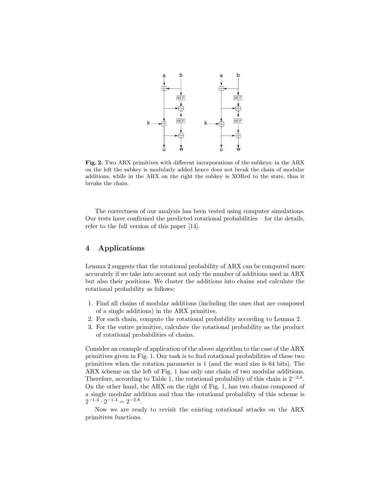

Fig. 2. Two ARX primitives with different incorporations of the subkeys: in the ARX on the left the subkey is modularly added hence does not break the chain of modular additions, while in the ARX on the right the subkey is XORed to the state, thus it breaks the chain.

The correctness of our analysis has been tested using computer simulations. Our tests have confirmed the predicted rotational probabilities – for the details, refer to the full version of this paper [14].

#### 4 Applications

Lemma 2 suggests that the rotational probability of ARX can be computed more accurately if we take into account not only the number of additions used in ARX but also their positions. We cluster the additions into chains and calculate the rotational probability as follows:

- 1. Find all chains of modular additions (including the ones that are composed of a single additions) in the ARX primitive.
- 2. For each chain, compute the rotational probability according to Lemma 2.
- 3. For the entire primitive, calculate the rotational probability as the product of rotational probabilities of chains.

Consider an example of application of the above algorithm to the case of the ARX primitives given in Fig. 1. Our task is to find rotational probabilities of these two primitives when the rotation parameter is 1 (and the word size is 64 bits). The ARX scheme on the left of Fig. 1 has only one chain of two modular additions. Therefore, according to Table 1, the rotational probability of this chain is  $2^{-3.6}$ . On the other hand, the ARX on the right of Fig. 1, has two chains composed of a single modular addition and thus the rotational probability of this scheme is  $2^{-1.4} \cdot 2^{-1.4} = 2^{-2.8}.$ 

Now we are ready to revisit the existing rotational attacks on the ARX primitives functions.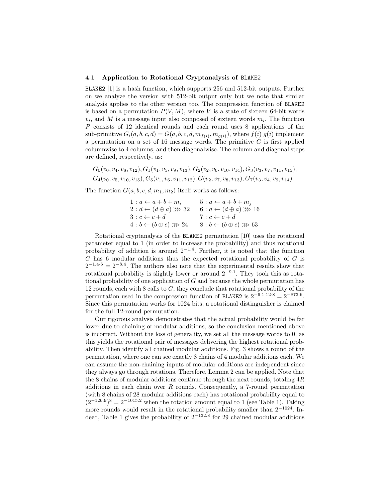#### 4.1 Application to Rotational Cryptanalysis of BLAKE2

BLAKE2 [1] is a hash function, which supports 256 and 512-bit outputs. Further on we analyze the version with 512-bit output only but we note that similar analysis applies to the other version too. The compression function of BLAKE2 is based on a permutation  $P(V, M)$ , where V is a state of sixteen 64-bit words  $v_i$ , and M is a message input also composed of sixteen words  $m_i$ . The function P consists of 12 identical rounds and each round uses 8 applications of the sub-primitive  $G_i(a, b, c, d) = G(a, b, c, d, m_{f(i)}, m_{g(i)})$ , where  $f(i)$   $g(i)$  implement a permutation on a set of 16 message words. The primitive  $G$  is first applied columnwise to 4 columns, and then diagonalwise. The column and diagonal steps are defined, respectively, as:

$$
G_0(v_0, v_4, v_8, v_{12}), G_1(v_1, v_5, v_9, v_{13}), G_2(v_2, v_6, v_{10}, v_{14}), G_3(v_3, v_7, v_{11}, v_{15}),
$$
  

$$
G_4(v_0, v_5, v_{10}, v_{15}), G_5(v_1, v_6, v_{11}, v_{12}), G(v_2, v_7, v_8, v_{13}), G_7(v_3, v_4, v_9, v_{14}).
$$

The function  $G(a, b, c, d, m_1, m_2)$  itself works as follows:

 $1: a \leftarrow a+b+m_i$   $5: a \leftarrow a+b+m_j$  $2: d \leftarrow (d \oplus a) \ggg 32 \quad 6: d \leftarrow (d \oplus a) \ggg 16$  $3: c \leftarrow c + d$  7 :  $c \leftarrow c + d$  $4:b \leftarrow (b \oplus c) \ggg 24 \qquad 8:b \leftarrow (b \oplus c) \ggg 63$ 

Rotational cryptanalysis of the BLAKE2 permutation [10] uses the rotational parameter equal to 1 (in order to increase the probability) and thus rotational probability of addition is around  $2^{-1.4}$ . Further, it is noted that the function G has 6 modular additions thus the expected rotational probability of G is  $2^{-1.4\cdot6} = 2^{-8.4}$ . The authors also note that the experimental results show that rotational probability is slightly lower or around  $2^{-9.1}$ . They took this as rotational probability of one application of  $G$  and because the whole permutation has 12 rounds, each with 8 calls to G, they conclude that rotational probability of the permutation used in the compression function of BLAKE2 is  $2^{-9.1 \cdot 12 \cdot 8} = 2^{-873.6}$ . Since this permutation works for 1024 bits, a rotational distinguisher is claimed for the full 12-round permutation.

Our rigorous analysis demonstrates that the actual probability would be far lower due to chaining of modular additions, so the conclusion mentioned above is incorrect. Without the loss of generality, we set all the message words to 0, as this yields the rotational pair of messages delivering the highest rotational probability. Then identify all chained modular additions. Fig. 3 shows a round of the permutation, where one can see exactly 8 chains of 4 modular additions each. We can assume the non-chaining inputs of modular additions are independent since they always go through rotations. Therefore, Lemma 2 can be applied. Note that the 8 chains of modular additions continue through the next rounds, totaling  $4R$ additions in each chain over  $R$  rounds. Consequently, a 7-round permutation (with 8 chains of 28 modular additions each) has rotational probability equal to  $(2^{-126.9})^8 = 2^{-1015.2}$  when the rotation amount equal to 1 (see Table 1). Taking more rounds would result in the rotational probability smaller than 2<sup>−</sup><sup>1024</sup>. Indeed, Table 1 gives the probability of  $2^{-132.8}$  for 29 chained modular additions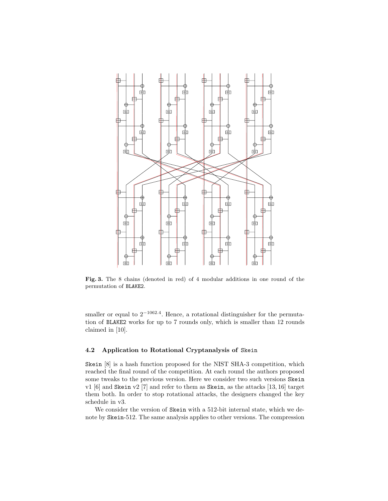

Fig. 3. The 8 chains (denoted in red) of 4 modular additions in one round of the permutation of BLAKE2.

smaller or equal to  $2^{-1062.4}$ . Hence, a rotational distinguisher for the permutation of BLAKE2 works for up to 7 rounds only, which is smaller than 12 rounds claimed in [10].

#### 4.2 Application to Rotational Cryptanalysis of Skein

Skein [8] is a hash function proposed for the NIST SHA-3 competition, which reached the final round of the competition. At each round the authors proposed some tweaks to the previous version. Here we consider two such versions Skein v1 [6] and Skein v2 [7] and refer to them as Skein, as the attacks [13, 16] target them both. In order to stop rotational attacks, the designers changed the key schedule in v3.

We consider the version of Skein with a 512-bit internal state, which we denote by Skein-512. The same analysis applies to other versions. The compression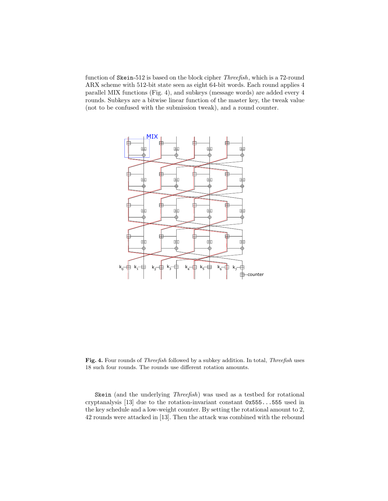function of Skein-512 is based on the block cipher Threefish, which is a 72-round ARX scheme with 512-bit state seen as eight 64-bit words. Each round applies 4 parallel MIX functions (Fig. 4), and subkeys (message words) are added every 4 rounds. Subkeys are a bitwise linear function of the master key, the tweak value (not to be confused with the submission tweak), and a round counter.



Fig. 4. Four rounds of Threefish followed by a subkey addition. In total, Threefish uses 18 such four rounds. The rounds use different rotation amounts.

Skein (and the underlying *Threefish*) was used as a testbed for rotational cryptanalysis [13] due to the rotation-invariant constant 0x555...555 used in the key schedule and a low-weight counter. By setting the rotational amount to 2, 42 rounds were attacked in [13]. Then the attack was combined with the rebound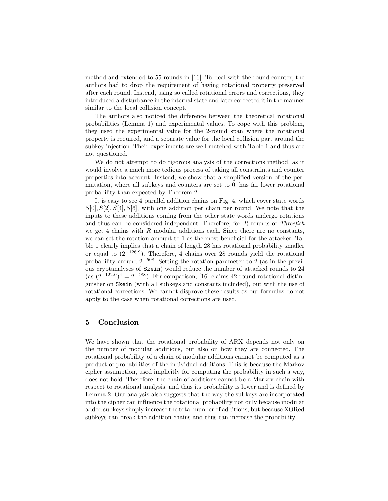method and extended to 55 rounds in [16]. To deal with the round counter, the authors had to drop the requirement of having rotational property preserved after each round. Instead, using so called rotational errors and corrections, they introduced a disturbance in the internal state and later corrected it in the manner similar to the local collision concept.

The authors also noticed the difference between the theoretical rotational probabilities (Lemma 1) and experimental values. To cope with this problem, they used the experimental value for the 2-round span where the rotational property is required, and a separate value for the local collision part around the subkey injection. Their experiments are well matched with Table 1 and thus are not questioned.

We do not attempt to do rigorous analysis of the corrections method, as it would involve a much more tedious process of taking all constraints and counter properties into account. Instead, we show that a simplified version of the permutation, where all subkeys and counters are set to 0, has far lower rotational probability than expected by Theorem 2.

It is easy to see 4 parallel addition chains on Fig. 4, which cover state words  $S[0], S[2], S[4], S[6],$  with one addition per chain per round. We note that the inputs to these additions coming from the other state words undergo rotations and thus can be considered independent. Therefore, for R rounds of Threefish we get 4 chains with  $R$  modular additions each. Since there are no constants, we can set the rotation amount to 1 as the most beneficial for the attacker. Table 1 clearly implies that a chain of length 28 has rotational probability smaller or equal to  $(2^{-126.9})$ . Therefore, 4 chains over 28 rounds yield the rotational probability around  $2^{-508}$ . Setting the rotation parameter to 2 (as in the previous cryptanalyses of Skein) would reduce the number of attacked rounds to 24  $(\text{as } (2^{-122.0})^4 = 2^{-488})$ . For comparison, [16] claims 42-round rotational distinguisher on Skein (with all subkeys and constants included), but with the use of rotational corrections. We cannot disprove these results as our formulas do not apply to the case when rotational corrections are used.

## 5 Conclusion

We have shown that the rotational probability of ARX depends not only on the number of modular additions, but also on how they are connected. The rotational probability of a chain of modular additions cannot be computed as a product of probabilities of the individual additions. This is because the Markov cipher assumption, used implicitly for computing the probability in such a way, does not hold. Therefore, the chain of additions cannot be a Markov chain with respect to rotational analysis, and thus its probability is lower and is defined by Lemma 2. Our analysis also suggests that the way the subkeys are incorporated into the cipher can influence the rotational probability not only because modular added subkeys simply increase the total number of additions, but because XORed subkeys can break the addition chains and thus can increase the probability.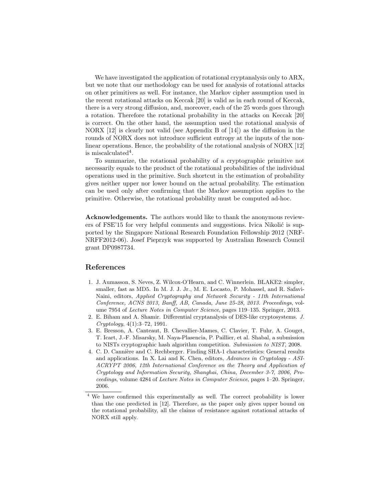We have investigated the application of rotational cryptanalysis only to ARX, but we note that our methodology can be used for analysis of rotational attacks on other primitives as well. For instance, the Markov cipher assumption used in the recent rotational attacks on Keccak [20] is valid as in each round of Keccak, there is a very strong diffusion, and, moreover, each of the 25 words goes through a rotation. Therefore the rotational probability in the attacks on Keccak [20] is correct. On the other hand, the assumption used the rotational analysis of NORX [12] is clearly not valid (see Appendix B of [14]) as the diffusion in the rounds of NORX does not introduce sufficient entropy at the inputs of the nonlinear operations. Hence, the probability of the rotational analysis of NORX [12] is miscalculated<sup>4</sup>.

To summarize, the rotational probability of a cryptographic primitive not necessarily equals to the product of the rotational probabilities of the individual operations used in the primitive. Such shortcut in the estimation of probability gives neither upper nor lower bound on the actual probability. The estimation can be used only after confirming that the Markov assumption applies to the primitive. Otherwise, the rotational probability must be computed ad-hoc.

Acknowledgements. The authors would like to thank the anonymous reviewers of FSE'15 for very helpful comments and suggestions. Ivica Nikolić is supported by the Singapore National Research Foundation Fellowship 2012 (NRF-NRFF2012-06). Josef Pieprzyk was supported by Australian Research Council grant DP0987734.

#### References

- 1. J. Aumasson, S. Neves, Z. Wilcox-O'Hearn, and C. Winnerlein. BLAKE2: simpler, smaller, fast as MD5. In M. J. J. Jr., M. E. Locasto, P. Mohassel, and R. Safavi-Naini, editors, Applied Cryptography and Network Security - 11th International Conference, ACNS 2013, Banff, AB, Canada, June 25-28, 2013. Proceedings, volume 7954 of Lecture Notes in Computer Science, pages 119–135. Springer, 2013.
- 2. E. Biham and A. Shamir. Differential cryptanalysis of DES-like cryptosystems. J. Cryptology, 4(1):3–72, 1991.
- 3. E. Bresson, A. Canteaut, B. Chevallier-Mames, C. Clavier, T. Fuhr, A. Gouget, T. Icart, J.-F. Misarsky, M. Naya-Plasencia, P. Paillier, et al. Shabal, a submission to NISTs cryptographic hash algorithm competition. Submission to NIST, 2008.
- 4. C. D. Cannière and C. Rechberger. Finding SHA-1 characteristics: General results and applications. In X. Lai and K. Chen, editors, Advances in Cryptology - ASI-ACRYPT 2006, 12th International Conference on the Theory and Application of Cryptology and Information Security, Shanghai, China, December 3-7, 2006, Proceedings, volume 4284 of Lecture Notes in Computer Science, pages 1–20. Springer, 2006.
- <sup>4</sup> We have confirmed this experimentally as well. The correct probability is lower than the one predicted in [12]. Therefore, as the paper only gives upper bound on the rotational probability, all the claims of resistance against rotational attacks of NORX still apply.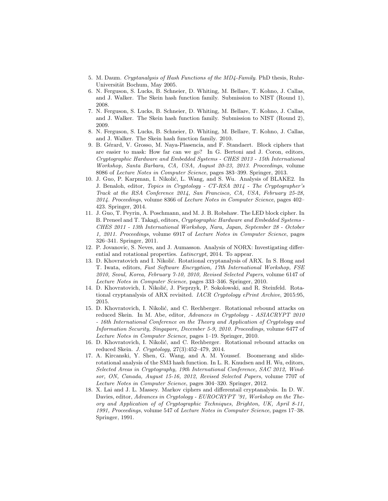- 5. M. Daum. Cryptanalysis of Hash Functions of the MD4-Family. PhD thesis, Ruhr-Universität Bochum, May 2005.
- 6. N. Ferguson, S. Lucks, B. Schneier, D. Whiting, M. Bellare, T. Kohno, J. Callas, and J. Walker. The Skein hash function family. Submission to NIST (Round 1), 2008.
- 7. N. Ferguson, S. Lucks, B. Schneier, D. Whiting, M. Bellare, T. Kohno, J. Callas, and J. Walker. The Skein hash function family. Submission to NIST (Round 2), 2009.
- 8. N. Ferguson, S. Lucks, B. Schneier, D. Whiting, M. Bellare, T. Kohno, J. Callas, and J. Walker. The Skein hash function family. 2010.
- 9. B. Gérard, V. Grosso, M. Naya-Plasencia, and F. Standaert. Block ciphers that are easier to mask: How far can we go? In G. Bertoni and J. Coron, editors, Cryptographic Hardware and Embedded Systems - CHES 2013 - 15th International Workshop, Santa Barbara, CA, USA, August 20-23, 2013. Proceedings, volume 8086 of Lecture Notes in Computer Science, pages 383–399. Springer, 2013.
- 10. J. Guo, P. Karpman, I. Nikolić, L. Wang, and S. Wu. Analysis of BLAKE2. In J. Benaloh, editor, Topics in Cryptology - CT-RSA 2014 - The Cryptographer's Track at the RSA Conference 2014, San Francisco, CA, USA, February 25-28, 2014. Proceedings, volume 8366 of Lecture Notes in Computer Science, pages 402– 423. Springer, 2014.
- 11. J. Guo, T. Peyrin, A. Poschmann, and M. J. B. Robshaw. The LED block cipher. In B. Preneel and T. Takagi, editors, Cryptographic Hardware and Embedded Systems - CHES 2011 - 13th International Workshop, Nara, Japan, September 28 - October 1, 2011. Proceedings, volume 6917 of Lecture Notes in Computer Science, pages 326–341. Springer, 2011.
- 12. P. Jovanovic, S. Neves, and J. Aumasson. Analysis of NORX: Investigating differential and rotational properties. Latincrypt, 2014. To appear.
- 13. D. Khovratovich and I. Nikolić. Rotational cryptanalysis of ARX. In S. Hong and T. Iwata, editors, Fast Software Encryption, 17th International Workshop, FSE 2010, Seoul, Korea, February 7-10, 2010, Revised Selected Papers, volume 6147 of Lecture Notes in Computer Science, pages 333–346. Springer, 2010.
- 14. D. Khovratovich, I. Nikolić, J. Pieprzyk, P. Sokolowski, and R. Steinfeld. Rotational cryptanalysis of ARX revisited. IACR Cryptology ePrint Archive, 2015:95, 2015.
- 15. D. Khovratovich, I. Nikolić, and C. Rechberger. Rotational rebound attacks on reduced Skein. In M. Abe, editor, Advances in Cryptology - ASIACRYPT 2010 - 16th International Conference on the Theory and Application of Cryptology and Information Security, Singapore, December 5-9, 2010. Proceedings, volume 6477 of Lecture Notes in Computer Science, pages 1–19. Springer, 2010.
- 16. D. Khovratovich, I. Nikolić, and C. Rechberger. Rotational rebound attacks on reduced Skein. J. Cryptology, 27(3):452–479, 2014.
- 17. A. Kircanski, Y. Shen, G. Wang, and A. M. Youssef. Boomerang and sliderotational analysis of the SM3 hash function. In L. R. Knudsen and H. Wu, editors, Selected Areas in Cryptography, 19th International Conference, SAC 2012, Windsor, ON, Canada, August 15-16, 2012, Revised Selected Papers, volume 7707 of Lecture Notes in Computer Science, pages 304–320. Springer, 2012.
- 18. X. Lai and J. L. Massey. Markov ciphers and differentail cryptanalysis. In D. W. Davies, editor, Advances in Cryptology - EUROCRYPT '91, Workshop on the Theory and Application of of Cryptographic Techniques, Brighton, UK, April 8-11, 1991, Proceedings, volume 547 of Lecture Notes in Computer Science, pages 17–38. Springer, 1991.